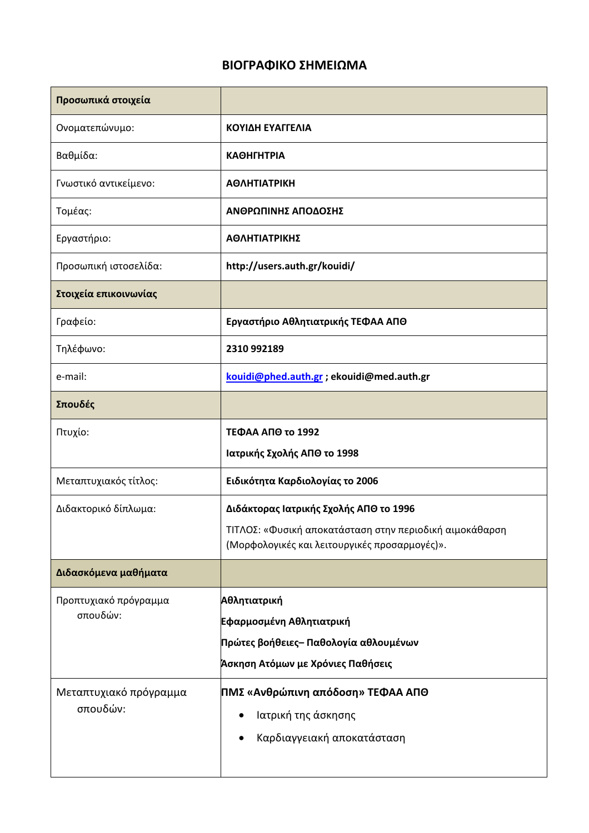## **ΒΙΟΓΡΑΦΙΚΟ ΣΗΜΕΙΩΜΑ**

| Προσωπικά στοιχεία                 |                                                                                                          |
|------------------------------------|----------------------------------------------------------------------------------------------------------|
| Ονοματεπώνυμο:                     | ΚΟΥΙΔΗ ΕΥΑΓΓΕΛΙΑ                                                                                         |
| Βαθμίδα:                           | <b>КАӨНГНТРІА</b>                                                                                        |
| Γνωστικό αντικείμενο:              | <b>ΑΘΛΗΤΙΑΤΡΙΚΗ</b>                                                                                      |
| Τομέας:                            | ΑΝΘΡΩΠΙΝΗΣ ΑΠΟΔΟΣΗΣ                                                                                      |
| Εργαστήριο:                        | ΑΘΛΗΤΙΑΤΡΙΚΗΣ                                                                                            |
| Προσωπική ιστοσελίδα:              | http://users.auth.gr/kouidi/                                                                             |
| Στοιχεία επικοινωνίας              |                                                                                                          |
| Γραφείο:                           | Εργαστήριο Αθλητιατρικής ΤΕΦΑΑ ΑΠΘ                                                                       |
| Τηλέφωνο:                          | 2310 992189                                                                                              |
| e-mail:                            | kouidi@phed.auth.gr ; ekouidi@med.auth.gr                                                                |
| Σπουδές                            |                                                                                                          |
| Πτυχίο:                            | ΤΕΦΑΑ ΑΠΘ το 1992                                                                                        |
|                                    | Ιατρικής Σχολής ΑΠΘ το 1998                                                                              |
| Μεταπτυχιακός τίτλος:              | Ειδικότητα Καρδιολογίας το 2006                                                                          |
| Διδακτορικό δίπλωμα:               | Διδάκτορας Ιατρικής Σχολής ΑΠΘ το 1996                                                                   |
|                                    | ΤΙΤΛΟΣ: «Φυσική αποκατάσταση στην περιοδική αιμοκάθαρση<br>(Μορφολογικές και λειτουργικές προσαρμογές)». |
|                                    |                                                                                                          |
| Διδασκόμενα μαθήματα               |                                                                                                          |
| Προπτυχιακό πρόγραμμα<br>σπουδών:  | Αθλητιατρική                                                                                             |
|                                    | Εφαρμοσμένη Αθλητιατρική                                                                                 |
|                                    | Πρώτες βοήθειες– Παθολογία αθλουμένων                                                                    |
|                                    | Άσκηση Ατόμων με Χρόνιες Παθήσεις                                                                        |
| Μεταπτυχιακό πρόγραμμα<br>σπουδών: | ΠΜΣ «Ανθρώπινη απόδοση» ΤΕΦΑΑ ΑΠΘ                                                                        |
|                                    | Ιατρική της άσκησης                                                                                      |
|                                    | Καρδιαγγειακή αποκατάσταση<br>$\bullet$                                                                  |
|                                    |                                                                                                          |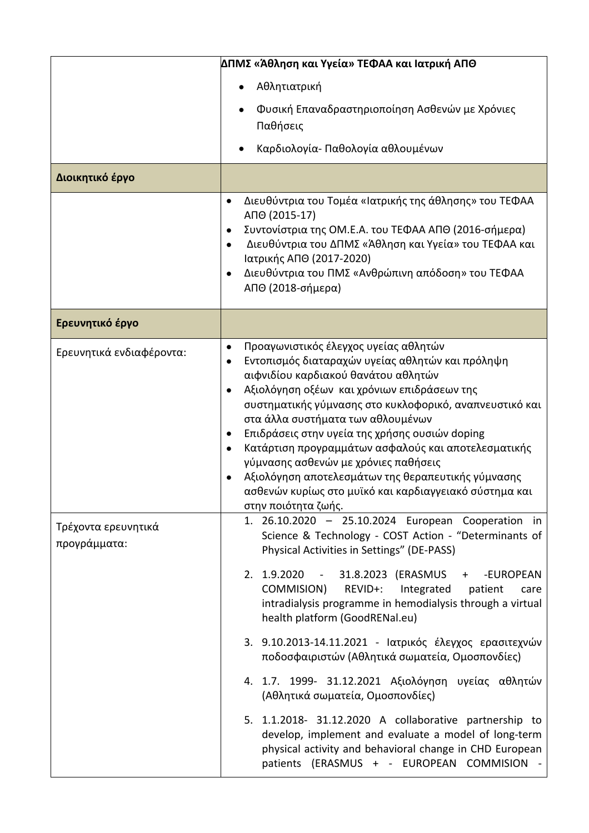|                                     | ΔΠΜΣ «Άθληση και Υγεία» ΤΕΦΑΑ και Ιατρική ΑΠΘ                                                                                                                                                                                                                                                                                                                                                                                                                                                                                                                                                                                                                                                                                                                                                                |
|-------------------------------------|--------------------------------------------------------------------------------------------------------------------------------------------------------------------------------------------------------------------------------------------------------------------------------------------------------------------------------------------------------------------------------------------------------------------------------------------------------------------------------------------------------------------------------------------------------------------------------------------------------------------------------------------------------------------------------------------------------------------------------------------------------------------------------------------------------------|
|                                     | Αθλητιατρική                                                                                                                                                                                                                                                                                                                                                                                                                                                                                                                                                                                                                                                                                                                                                                                                 |
|                                     | Φυσική Επαναδραστηριοποίηση Ασθενών με Χρόνιες<br>Παθήσεις                                                                                                                                                                                                                                                                                                                                                                                                                                                                                                                                                                                                                                                                                                                                                   |
|                                     | Καρδιολογία- Παθολογία αθλουμένων                                                                                                                                                                                                                                                                                                                                                                                                                                                                                                                                                                                                                                                                                                                                                                            |
| Διοικητικό έργο                     |                                                                                                                                                                                                                                                                                                                                                                                                                                                                                                                                                                                                                                                                                                                                                                                                              |
|                                     | Διευθύντρια του Τομέα «Ιατρικής της άθλησης» του ΤΕΦΑΑ<br>АПО (2015-17)<br>Συντονίστρια της ΟΜ.Ε.Α. του ΤΕΦΑΑ ΑΠΘ (2016-σήμερα)<br>Διευθύντρια του ΔΠΜΣ «Άθληση και Υγεία» του ΤΕΦΑΑ και<br>$\bullet$<br>Ιατρικής ΑΠΘ (2017-2020)<br>Διευθύντρια του ΠΜΣ «Ανθρώπινη απόδοση» του ΤΕΦΑΑ<br>ΑΠΘ (2018-σήμερα)                                                                                                                                                                                                                                                                                                                                                                                                                                                                                                  |
| Ερευνητικό έργο                     |                                                                                                                                                                                                                                                                                                                                                                                                                                                                                                                                                                                                                                                                                                                                                                                                              |
| Ερευνητικά ενδιαφέροντα:            | Προαγωνιστικός έλεγχος υγείας αθλητών<br>$\bullet$<br>Εντοπισμός διαταραχών υγείας αθλητών και πρόληψη<br>αιφνιδίου καρδιακού θανάτου αθλητών<br>Αξιολόγηση οξέων και χρόνιων επιδράσεων της<br>συστηματικής γύμνασης στο κυκλοφορικό, αναπνευστικό και<br>στα άλλα συστήματα των αθλουμένων<br>Επιδράσεις στην υγεία της χρήσης ουσιών doping<br>Κατάρτιση προγραμμάτων ασφαλούς και αποτελεσματικής<br>γύμνασης ασθενών με χρόνιες παθήσεις<br>Αξιολόγηση αποτελεσμάτων της θεραπευτικής γύμνασης<br>ασθενών κυρίως στο μυϊκό και καρδιαγγειακό σύστημα και<br>στην ποιότητα ζωής.                                                                                                                                                                                                                         |
| Τρέχοντα ερευνητικά<br>προγράμματα: | 1. 26.10.2020 - 25.10.2024 European Cooperation in<br>Science & Technology - COST Action - "Determinants of<br>Physical Activities in Settings" (DE-PASS)<br>2. 1.9.2020 - 31.8.2023 (ERASMUS<br>-EUROPEAN<br>$+$<br>COMMISION)<br>REVID+:<br>Integrated<br>patient<br>care<br>intradialysis programme in hemodialysis through a virtual<br>health platform (GoodRENal.eu)<br>3. 9.10.2013-14.11.2021 - Ιατρικός έλεγχος ερασιτεχνών<br>ποδοσφαιριστών (Αθλητικά σωματεία, Ομοσπονδίες)<br>4. 1.7. 1999- 31.12.2021 Αξιολόγηση υγείας αθλητών<br>(Αθλητικά σωματεία, Ομοσπονδίες)<br>5. 1.1.2018- 31.12.2020 A collaborative partnership to<br>develop, implement and evaluate a model of long-term<br>physical activity and behavioral change in CHD European<br>patients (ERASMUS + - EUROPEAN COMMISION - |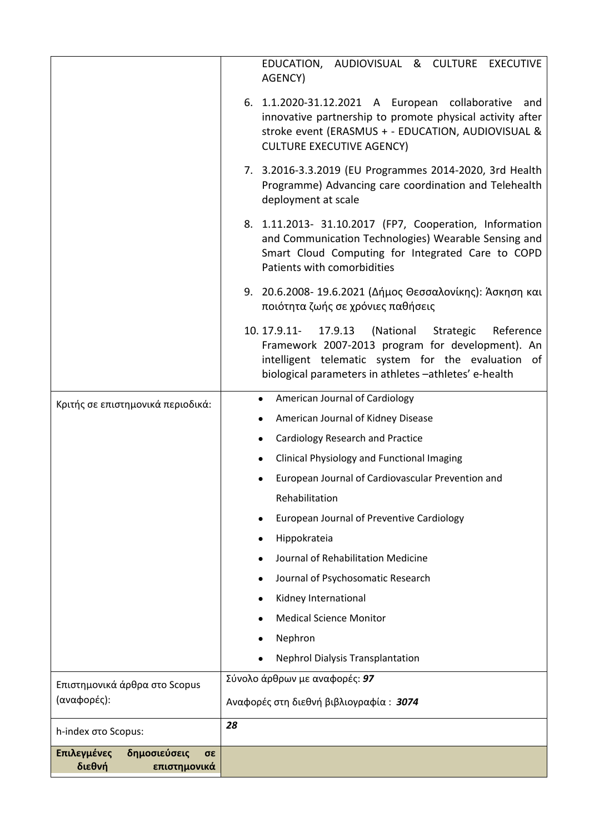|                                              | EDUCATION, AUDIOVISUAL & CULTURE EXECUTIVE<br>AGENCY)                                                                                                                                                                            |
|----------------------------------------------|----------------------------------------------------------------------------------------------------------------------------------------------------------------------------------------------------------------------------------|
|                                              | 6. 1.1.2020-31.12.2021 A European collaborative and<br>innovative partnership to promote physical activity after<br>stroke event (ERASMUS + - EDUCATION, AUDIOVISUAL &<br><b>CULTURE EXECUTIVE AGENCY)</b>                       |
|                                              | 7. 3.2016-3.3.2019 (EU Programmes 2014-2020, 3rd Health<br>Programme) Advancing care coordination and Telehealth<br>deployment at scale                                                                                          |
|                                              | 8. 1.11.2013- 31.10.2017 (FP7, Cooperation, Information<br>and Communication Technologies) Wearable Sensing and<br>Smart Cloud Computing for Integrated Care to COPD<br>Patients with comorbidities                              |
|                                              | 9. 20.6.2008- 19.6.2021 (Δήμος Θεσσαλονίκης): Άσκηση και<br>ποιότητα ζωής σε χρόνιες παθήσεις                                                                                                                                    |
|                                              | 10.17.9.11-<br>17.9.13<br>(National<br>Reference<br>Strategic<br>Framework 2007-2013 program for development). An<br>intelligent telematic system for the evaluation of<br>biological parameters in athletes -athletes' e-health |
| Κριτής σε επιστημονικά περιοδικά:            | American Journal of Cardiology<br>$\bullet$                                                                                                                                                                                      |
|                                              | American Journal of Kidney Disease                                                                                                                                                                                               |
|                                              | <b>Cardiology Research and Practice</b>                                                                                                                                                                                          |
|                                              | <b>Clinical Physiology and Functional Imaging</b><br>$\bullet$                                                                                                                                                                   |
|                                              | European Journal of Cardiovascular Prevention and                                                                                                                                                                                |
|                                              | Rehabilitation                                                                                                                                                                                                                   |
|                                              | European Journal of Preventive Cardiology<br>$\bullet$                                                                                                                                                                           |
|                                              | Hippokrateia<br>٠                                                                                                                                                                                                                |
|                                              | Journal of Rehabilitation Medicine                                                                                                                                                                                               |
|                                              | Journal of Psychosomatic Research                                                                                                                                                                                                |
|                                              | Kidney International                                                                                                                                                                                                             |
|                                              | <b>Medical Science Monitor</b>                                                                                                                                                                                                   |
|                                              | Nephron                                                                                                                                                                                                                          |
|                                              | <b>Nephrol Dialysis Transplantation</b>                                                                                                                                                                                          |
| Επιστημονικά άρθρα στο Scopus<br>(αναφορές): | Σύνολο άρθρων με αναφορές: 97<br>Αναφορές στη διεθνή βιβλιογραφία: 3074                                                                                                                                                          |
| h-index στο Scopus:                          | 28                                                                                                                                                                                                                               |
| Επιλεγμένες<br>δημοσιεύσεις<br>σε            |                                                                                                                                                                                                                                  |
| διεθνή<br>επιστημονικά                       |                                                                                                                                                                                                                                  |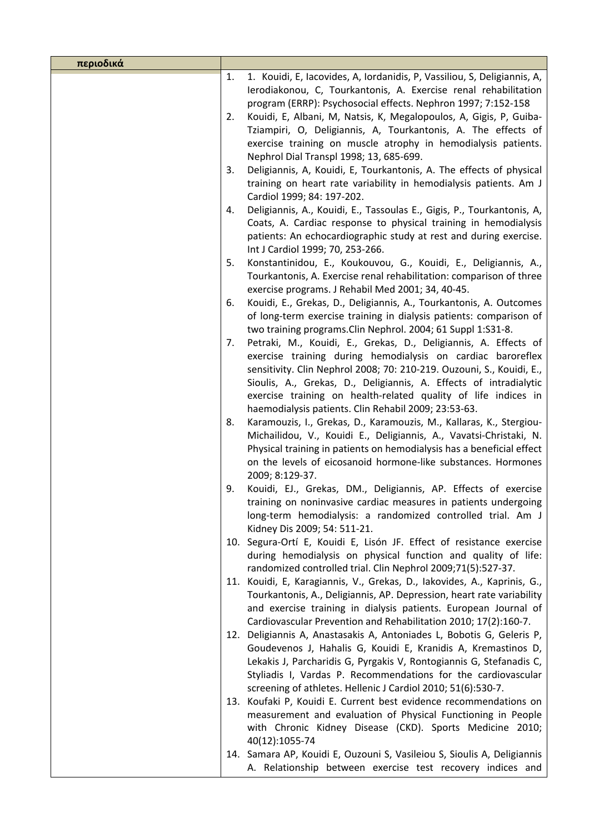| περιοδικά |                                                                                                                                                                                                                                                                                     |
|-----------|-------------------------------------------------------------------------------------------------------------------------------------------------------------------------------------------------------------------------------------------------------------------------------------|
|           | 1. Kouidi, E, Iacovides, A, Iordanidis, P, Vassiliou, S, Deligiannis, A,<br>1.<br>Ierodiakonou, C, Tourkantonis, A. Exercise renal rehabilitation<br>program (ERRP): Psychosocial effects. Nephron 1997; 7:152-158                                                                  |
| 2.        | Kouidi, E, Albani, M, Natsis, K, Megalopoulos, A, Gigis, P, Guiba-<br>Tziampiri, O, Deligiannis, A, Tourkantonis, A. The effects of<br>exercise training on muscle atrophy in hemodialysis patients.                                                                                |
|           | Nephrol Dial Transpl 1998; 13, 685-699.                                                                                                                                                                                                                                             |
| 3.        | Deligiannis, A, Kouidi, E, Tourkantonis, A. The effects of physical<br>training on heart rate variability in hemodialysis patients. Am J<br>Cardiol 1999; 84: 197-202.                                                                                                              |
| 4.        | Deligiannis, A., Kouidi, E., Tassoulas E., Gigis, P., Tourkantonis, A,<br>Coats, A. Cardiac response to physical training in hemodialysis<br>patients: An echocardiographic study at rest and during exercise.<br>Int J Cardiol 1999; 70, 253-266.                                  |
|           | Konstantinidou, E., Koukouvou, G., Kouidi, E., Deligiannis, A.,<br>5.                                                                                                                                                                                                               |
|           | Tourkantonis, A. Exercise renal rehabilitation: comparison of three<br>exercise programs. J Rehabil Med 2001; 34, 40-45.                                                                                                                                                            |
|           | Kouidi, E., Grekas, D., Deligiannis, A., Tourkantonis, A. Outcomes<br>6.<br>of long-term exercise training in dialysis patients: comparison of<br>two training programs. Clin Nephrol. 2004; 61 Suppl 1:S31-8.                                                                      |
| 7.        | Petraki, M., Kouidi, E., Grekas, D., Deligiannis, A. Effects of<br>exercise training during hemodialysis on cardiac baroreflex                                                                                                                                                      |
|           | sensitivity. Clin Nephrol 2008; 70: 210-219. Ouzouni, S., Kouidi, E.,                                                                                                                                                                                                               |
|           | Sioulis, A., Grekas, D., Deligiannis, A. Effects of intradialytic                                                                                                                                                                                                                   |
|           | exercise training on health-related quality of life indices in<br>haemodialysis patients. Clin Rehabil 2009; 23:53-63.                                                                                                                                                              |
| 8.        | Karamouzis, I., Grekas, D., Karamouzis, M., Kallaras, K., Stergiou-<br>Michailidou, V., Kouidi E., Deligiannis, A., Vavatsi-Christaki, N.<br>Physical training in patients on hemodialysis has a beneficial effect<br>on the levels of eicosanoid hormone-like substances. Hormones |
|           | 2009; 8:129-37.                                                                                                                                                                                                                                                                     |
|           | Kouidi, EJ., Grekas, DM., Deligiannis, AP. Effects of exercise<br>9.<br>training on noninvasive cardiac measures in patients undergoing<br>long-term hemodialysis: a randomized controlled trial. Am J<br>Kidney Dis 2009; 54: 511-21.                                              |
|           | 10. Segura-Ortí E, Kouidi E, Lisón JF. Effect of resistance exercise<br>during hemodialysis on physical function and quality of life:<br>randomized controlled trial. Clin Nephrol 2009;71(5):527-37.                                                                               |
|           | 11. Kouidi, E, Karagiannis, V., Grekas, D., Iakovides, A., Kaprinis, G.,<br>Tourkantonis, A., Deligiannis, AP. Depression, heart rate variability                                                                                                                                   |
|           | and exercise training in dialysis patients. European Journal of<br>Cardiovascular Prevention and Rehabilitation 2010; 17(2):160-7.                                                                                                                                                  |
|           | 12. Deligiannis A, Anastasakis A, Antoniades L, Bobotis G, Geleris P,<br>Goudevenos J, Hahalis G, Kouidi E, Kranidis A, Kremastinos D,<br>Lekakis J, Parcharidis G, Pyrgakis V, Rontogiannis G, Stefanadis C,<br>Styliadis I, Vardas P. Recommendations for the cardiovascular      |
|           | screening of athletes. Hellenic J Cardiol 2010; 51(6):530-7.<br>13. Koufaki P, Kouidi E. Current best evidence recommendations on                                                                                                                                                   |
|           | measurement and evaluation of Physical Functioning in People<br>with Chronic Kidney Disease (CKD). Sports Medicine 2010;                                                                                                                                                            |
|           | 40(12):1055-74<br>14. Samara AP, Kouidi E, Ouzouni S, Vasileiou S, Sioulis A, Deligiannis<br>A. Relationship between exercise test recovery indices and                                                                                                                             |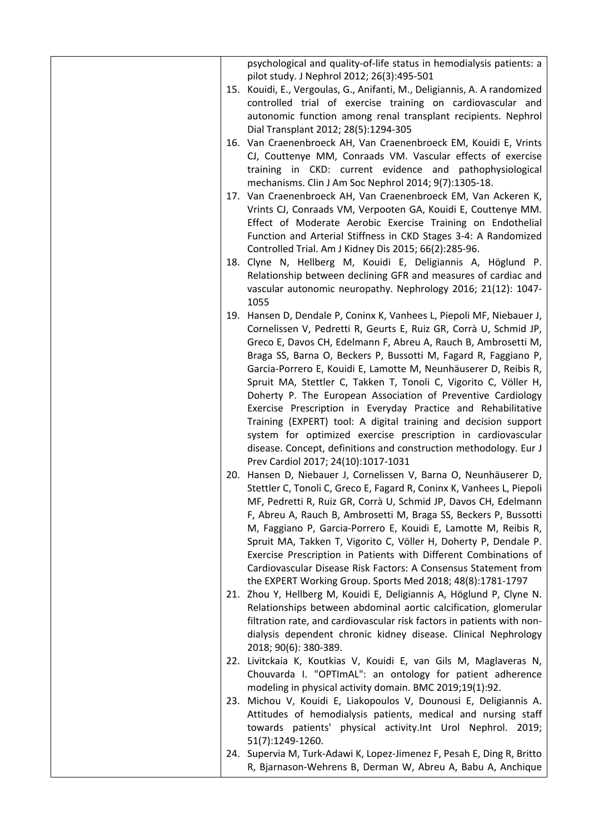|  | psychological and quality-of-life status in hemodialysis patients: a      |
|--|---------------------------------------------------------------------------|
|  | pilot study. J Nephrol 2012; 26(3):495-501                                |
|  | 15. Kouidi, E., Vergoulas, G., Anifanti, M., Deligiannis, A. A randomized |
|  | controlled trial of exercise training on cardiovascular and               |
|  | autonomic function among renal transplant recipients. Nephrol             |
|  | Dial Transplant 2012; 28(5):1294-305                                      |
|  | 16. Van Craenenbroeck AH, Van Craenenbroeck EM, Kouidi E, Vrints          |
|  | CJ, Couttenye MM, Conraads VM. Vascular effects of exercise               |
|  |                                                                           |
|  | training in CKD: current evidence and pathophysiological                  |
|  | mechanisms. Clin J Am Soc Nephrol 2014; 9(7):1305-18.                     |
|  | 17. Van Craenenbroeck AH, Van Craenenbroeck EM, Van Ackeren K,            |
|  | Vrints CJ, Conraads VM, Verpooten GA, Kouidi E, Couttenye MM.             |
|  | Effect of Moderate Aerobic Exercise Training on Endothelial               |
|  | Function and Arterial Stiffness in CKD Stages 3-4: A Randomized           |
|  | Controlled Trial. Am J Kidney Dis 2015; 66(2):285-96.                     |
|  | 18. Clyne N, Hellberg M, Kouidi E, Deligiannis A, Höglund P.              |
|  | Relationship between declining GFR and measures of cardiac and            |
|  | vascular autonomic neuropathy. Nephrology 2016; 21(12): 1047-             |
|  | 1055                                                                      |
|  | 19. Hansen D, Dendale P, Coninx K, Vanhees L, Piepoli MF, Niebauer J,     |
|  | Cornelissen V, Pedretti R, Geurts E, Ruiz GR, Corrà U, Schmid JP,         |
|  | Greco E, Davos CH, Edelmann F, Abreu A, Rauch B, Ambrosetti M,            |
|  | Braga SS, Barna O, Beckers P, Bussotti M, Fagard R, Faggiano P,           |
|  | Garcia-Porrero E, Kouidi E, Lamotte M, Neunhäuserer D, Reibis R,          |
|  | Spruit MA, Stettler C, Takken T, Tonoli C, Vigorito C, Völler H,          |
|  | Doherty P. The European Association of Preventive Cardiology              |
|  |                                                                           |
|  | Exercise Prescription in Everyday Practice and Rehabilitative             |
|  | Training (EXPERT) tool: A digital training and decision support           |
|  | system for optimized exercise prescription in cardiovascular              |
|  | disease. Concept, definitions and construction methodology. Eur J         |
|  | Prev Cardiol 2017; 24(10):1017-1031                                       |
|  | 20. Hansen D, Niebauer J, Cornelissen V, Barna O, Neunhäuserer D,         |
|  | Stettler C, Tonoli C, Greco E, Fagard R, Coninx K, Vanhees L, Piepoli     |
|  | MF, Pedretti R, Ruiz GR, Corrà U, Schmid JP, Davos CH, Edelmann           |
|  | F, Abreu A, Rauch B, Ambrosetti M, Braga SS, Beckers P, Bussotti          |
|  | M, Faggiano P, Garcia-Porrero E, Kouidi E, Lamotte M, Reibis R,           |
|  | Spruit MA, Takken T, Vigorito C, Völler H, Doherty P, Dendale P.          |
|  | Exercise Prescription in Patients with Different Combinations of          |
|  | Cardiovascular Disease Risk Factors: A Consensus Statement from           |
|  | the EXPERT Working Group. Sports Med 2018; 48(8):1781-1797                |
|  | 21. Zhou Y, Hellberg M, Kouidi E, Deligiannis A, Höglund P, Clyne N.      |
|  | Relationships between abdominal aortic calcification, glomerular          |
|  | filtration rate, and cardiovascular risk factors in patients with non-    |
|  | dialysis dependent chronic kidney disease. Clinical Nephrology            |
|  | 2018; 90(6): 380-389.                                                     |
|  | 22. Livitckaia K, Koutkias V, Kouidi E, van Gils M, Maglaveras N,         |
|  |                                                                           |
|  | Chouvarda I. "OPTImAL": an ontology for patient adherence                 |
|  | modeling in physical activity domain. BMC 2019;19(1):92.                  |
|  | 23. Michou V, Kouidi E, Liakopoulos V, Dounousi E, Deligiannis A.         |
|  | Attitudes of hemodialysis patients, medical and nursing staff             |
|  | towards patients' physical activity. Int Urol Nephrol. 2019;              |
|  | 51(7):1249-1260.                                                          |
|  | 24. Supervia M, Turk-Adawi K, Lopez-Jimenez F, Pesah E, Ding R, Britto    |
|  | R, Bjarnason-Wehrens B, Derman W, Abreu A, Babu A, Anchique               |
|  |                                                                           |